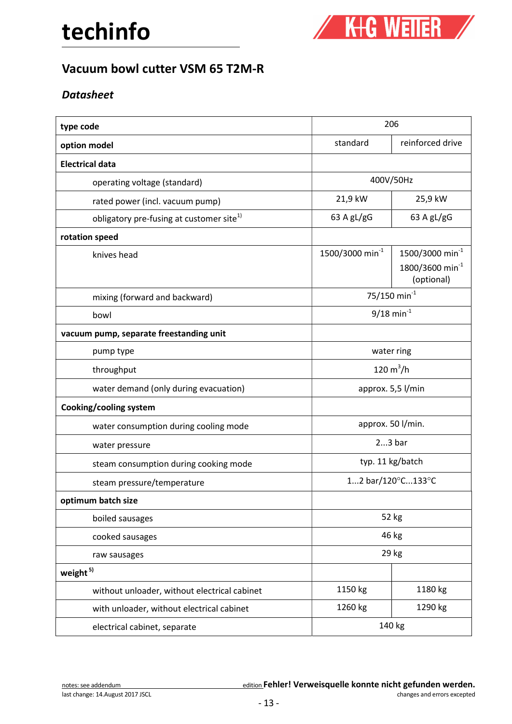

## Vacuum bowl cutter VSM 65 T2M-R

## **Datasheet**

| type code                                            | 206                         |                                                                          |
|------------------------------------------------------|-----------------------------|--------------------------------------------------------------------------|
| option model                                         | standard                    | reinforced drive                                                         |
| <b>Electrical data</b>                               |                             |                                                                          |
| operating voltage (standard)                         | 400V/50Hz                   |                                                                          |
| rated power (incl. vacuum pump)                      | 21,9 kW                     | 25,9 kW                                                                  |
| obligatory pre-fusing at customer site <sup>1)</sup> | 63 A gL/gG                  | 63 A $gL/gG$                                                             |
| rotation speed                                       |                             |                                                                          |
| knives head                                          | 1500/3000 min <sup>-1</sup> | 1500/3000 min <sup>-1</sup><br>1800/3600 min <sup>-1</sup><br>(optional) |
| mixing (forward and backward)                        | 75/150 min $^{-1}$          |                                                                          |
| bowl                                                 | $9/18$ min <sup>-1</sup>    |                                                                          |
| vacuum pump, separate freestanding unit              |                             |                                                                          |
| pump type                                            | water ring                  |                                                                          |
| throughput                                           | 120 $m^3/h$                 |                                                                          |
| water demand (only during evacuation)                | approx. 5,5 l/min           |                                                                          |
| Cooking/cooling system                               |                             |                                                                          |
| water consumption during cooling mode                | approx. 50 l/min.           |                                                                          |
| water pressure                                       | $23$ bar                    |                                                                          |
| steam consumption during cooking mode                | typ. 11 kg/batch            |                                                                          |
| steam pressure/temperature                           | 12 bar/120°C133°C           |                                                                          |
| optimum batch size                                   |                             |                                                                          |
| boiled sausages                                      | 52 kg                       |                                                                          |
| cooked sausages                                      | 46 kg                       |                                                                          |
| raw sausages                                         | 29 kg                       |                                                                          |
| weight <sup>5)</sup>                                 |                             |                                                                          |
| without unloader, without electrical cabinet         | 1150 kg                     | 1180 kg                                                                  |
| with unloader, without electrical cabinet            | 1260 kg                     | 1290 kg                                                                  |
| electrical cabinet, separate                         | 140 kg                      |                                                                          |